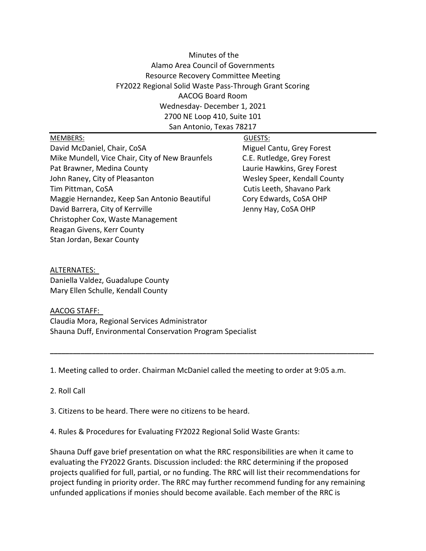# Minutes of the Alamo Area Council of Governments Resource Recovery Committee Meeting FY2022 Regional Solid Waste Pass-Through Grant Scoring AACOG Board Room Wednesday- December 1, 2021 2700 NE Loop 410, Suite 101 San Antonio, Texas 78217

#### MEMBERS: GUESTS:

David McDaniel, Chair, CoSA Miguel Cantu, Grey Forest Mike Mundell, Vice Chair, City of New Braunfels C.E. Rutledge, Grey Forest Pat Brawner, Medina County **Laurie Hawkins, Grey Forest** John Raney, City of Pleasanton Theorem 2012 Mesley Speer, Kendall County Tim Pittman, CoSA Cutis Leeth, Shavano Park Maggie Hernandez, Keep San Antonio Beautiful Cory Edwards, CoSA OHP David Barrera, City of Kerrville Jenny Hay, CoSA OHP Christopher Cox, Waste Management Reagan Givens, Kerr County Stan Jordan, Bexar County

### ALTERNATES: Daniella Valdez, Guadalupe County Mary Ellen Schulle, Kendall County

## AACOG STAFF: Claudia Mora, Regional Services Administrator Shauna Duff, Environmental Conservation Program Specialist

1. Meeting called to order. Chairman McDaniel called the meeting to order at 9:05 a.m.

**\_\_\_\_\_\_\_\_\_\_\_\_\_\_\_\_\_\_\_\_\_\_\_\_\_\_\_\_\_\_\_\_\_\_\_\_\_\_\_\_\_\_\_\_\_\_\_\_\_\_\_\_\_\_\_\_\_\_\_\_\_\_\_\_\_\_\_\_\_\_\_\_\_\_\_\_\_\_\_\_\_\_\_\_\_**

### 2. Roll Call

3. Citizens to be heard. There were no citizens to be heard.

4. Rules & Procedures for Evaluating FY2022 Regional Solid Waste Grants:

Shauna Duff gave brief presentation on what the RRC responsibilities are when it came to evaluating the FY2022 Grants. Discussion included: the RRC determining if the proposed projects qualified for full, partial, or no funding. The RRC will list their recommendations for project funding in priority order. The RRC may further recommend funding for any remaining unfunded applications if monies should become available. Each member of the RRC is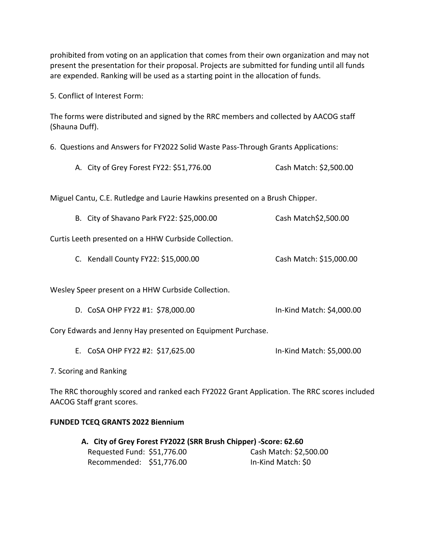prohibited from voting on an application that comes from their own organization and may not present the presentation for their proposal. Projects are submitted for funding until all funds are expended. Ranking will be used as a starting point in the allocation of funds.

5. Conflict of Interest Form:

The forms were distributed and signed by the RRC members and collected by AACOG staff (Shauna Duff).

6. Questions and Answers for FY2022 Solid Waste Pass-Through Grants Applications:

A. City of Grey Forest FY22: \$51,776.00 Cash Match: \$2,500.00

Miguel Cantu, C.E. Rutledge and Laurie Hawkins presented on a Brush Chipper.

B. City of Shavano Park FY22: \$25,000.00 Cash Match\$2,500.00

Curtis Leeth presented on a HHW Curbside Collection.

C. Kendall County FY22: \$15,000.00 Cash Match: \$15,000.00

Wesley Speer present on a HHW Curbside Collection.

D. CoSA OHP FY22 #1: \$78,000.00 In-Kind Match: \$4,000.00

Cory Edwards and Jenny Hay presented on Equipment Purchase.

E. CoSA OHP FY22 #2: \$17,625.00 In-Kind Match: \$5,000.00

7. Scoring and Ranking

The RRC thoroughly scored and ranked each FY2022 Grant Application. The RRC scores included AACOG Staff grant scores.

### **FUNDED TCEQ GRANTS 2022 Biennium**

| A. City of Grey Forest FY2022 (SRR Brush Chipper) -Score: 62.60 |  |                        |  |  |
|-----------------------------------------------------------------|--|------------------------|--|--|
| Requested Fund: \$51,776.00                                     |  | Cash Match: \$2,500.00 |  |  |
| Recommended: \$51,776.00                                        |  | In-Kind Match: \$0     |  |  |